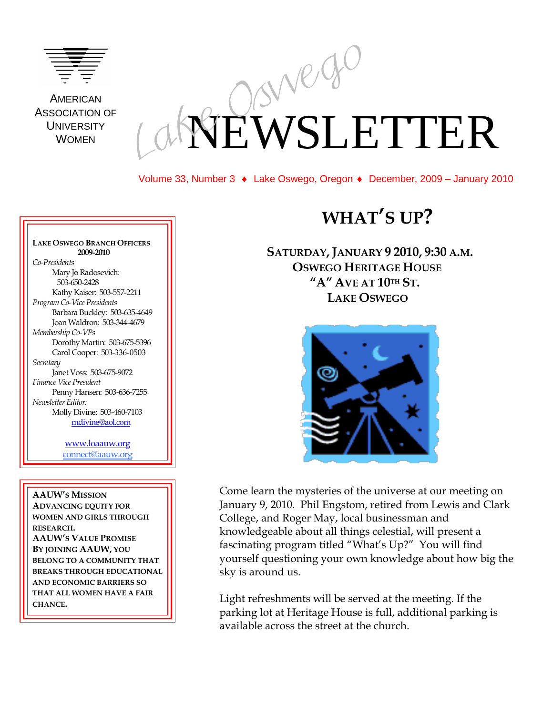

**AMERICAN** ASSOCIATION OF **UNIVERSITY** WOMEN

# EWSLETTER

Volume 33, Number 3 Lake Oswego, Oregon ♦ December, 2009 – January 2010

#### **LAKE OSWEGO BRANCH OFFICERS 2009-2010** *Co-Presidents* Mary Jo Radosevich: 503-650-2428 Kathy Kaiser: 503-557-2211 *Program Co-Vice Presidents* Barbara Buckley: 503-635-4649 Joan Waldron: 503-344-4679 *Membership Co-VPs* Dorothy Martin: 503-675-5396 Carol Cooper: 503-336-0503 *Secretary* Janet Voss: 503-675-9072 *Finance Vice President*  Penny Hansen: 503-636-7255 *Newsletter Editor:* Molly Divine: 503-460-7103 [mdivine@aol.com](mailto:mdivine@aol.com)

[www.loaauw.org](http://www.loaauw.org/) connect@aauw.org

**AAUW'S MISSION ADVANCING EQUITY FOR WOMEN AND GIRLS THROUGH RESEARCH. AAUW'S VALUE PROMISE BY JOINING AAUW, YOU BELONG TO A COMMUNITY THAT BREAKS THROUGH EDUCATIONAL AND ECONOMIC BARRIERS SO THAT ALL WOMEN HAVE A FAIR CHANCE.**

# **WHAT'S UP?**

**SATURDAY,JANUARY 9 2010, 9:30 A.M. OSWEGO HERITAGE HOUSE "A" AVE AT 10TH ST. LAKE OSWEGO**



Come learn the mysteries of the universe at our meeting on January 9, 2010. Phil Engstom, retired from Lewis and Clark College, and Roger May, local businessman and knowledgeable about all things celestial, will present a fascinating program titled "What's Up?" You will find yourself questioning your own knowledge about how big the sky is around us.

Light refreshments will be served at the meeting. If the parking lot at Heritage House is full, additional parking is available across the street at the church.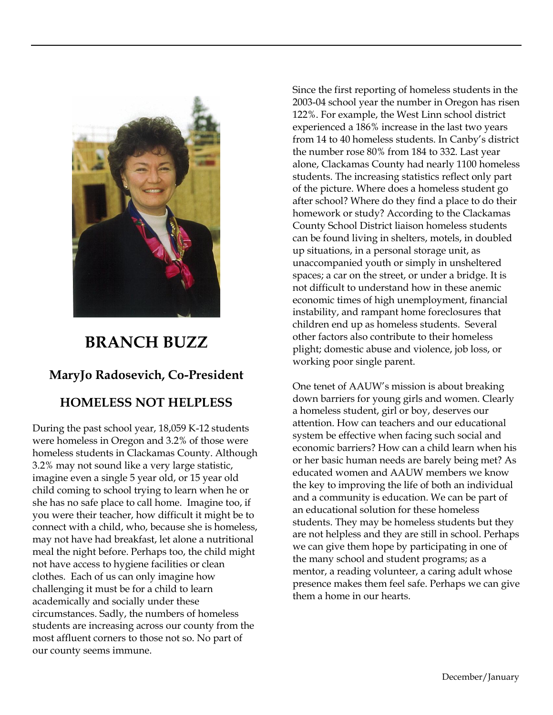

# **BRANCH BUZZ**

## **MaryJo Radosevich, Co-President**

## **HOMELESS NOT HELPLESS**

During the past school year, 18,059 K-12 students were homeless in Oregon and 3.2% of those were homeless students in Clackamas County. Although 3.2% may not sound like a very large statistic, imagine even a single 5 year old, or 15 year old child coming to school trying to learn when he or she has no safe place to call home. Imagine too, if you were their teacher, how difficult it might be to connect with a child, who, because she is homeless, may not have had breakfast, let alone a nutritional meal the night before. Perhaps too, the child might not have access to hygiene facilities or clean clothes. Each of us can only imagine how challenging it must be for a child to learn academically and socially under these circumstances. Sadly, the numbers of homeless students are increasing across our county from the most affluent corners to those not so. No part of our county seems immune.

Since the first reporting of homeless students in the 2003-04 school year the number in Oregon has risen 122%. For example, the West Linn school district experienced a 186% increase in the last two years from 14 to 40 homeless students. In Canby's district the number rose 80% from 184 to 332. Last year alone, Clackamas County had nearly 1100 homeless students. The increasing statistics reflect only part of the picture. Where does a homeless student go after school? Where do they find a place to do their homework or study? According to the Clackamas County School District liaison homeless students can be found living in shelters, motels, in doubled up situations, in a personal storage unit, as unaccompanied youth or simply in unsheltered spaces; a car on the street, or under a bridge. It is not difficult to understand how in these anemic economic times of high unemployment, financial instability, and rampant home foreclosures that children end up as homeless students. Several other factors also contribute to their homeless plight; domestic abuse and violence, job loss, or working poor single parent.

One tenet of AAUW's mission is about breaking down barriers for young girls and women. Clearly a homeless student, girl or boy, deserves our attention. How can teachers and our educational system be effective when facing such social and economic barriers? How can a child learn when his or her basic human needs are barely being met? As educated women and AAUW members we know the key to improving the life of both an individual and a community is education. We can be part of an educational solution for these homeless students. They may be homeless students but they are not helpless and they are still in school. Perhaps we can give them hope by participating in one of the many school and student programs; as a mentor, a reading volunteer, a caring adult whose presence makes them feel safe. Perhaps we can give them a home in our hearts.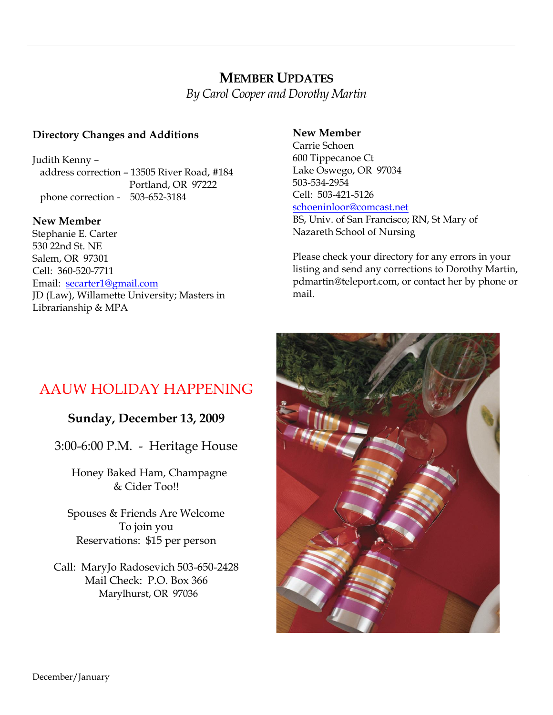## **MEMBER UPDATES** *By Carol Cooper and Dorothy Martin*

#### **Directory Changes and Additions**

Judith Kenny – address correction – 13505 River Road, #184 Portland, OR 97222 phone correction - 503-652-3184

#### **New Member**

Stephanie E. Carter 530 22nd St. NE Salem, OR 97301 Cell: 360-520-7711 Email: [secarter1@gmail.com](mailto:secarter1@gmail.com) JD (Law), Willamette University; Masters in Librarianship & MPA

#### **New Member**

Carrie Schoen 600 Tippecanoe Ct Lake Oswego, OR 97034 503-534-2954 Cell: 503-421-5126 [schoeninloor@comcast.net](mailto:schoeninloor@comcast.net) BS, Univ. of San Francisco; RN, St Mary of

Nazareth School of Nursing

Please check your directory for any errors in your listing and send any corrections to Dorothy Martin, pdmartin@teleport.com, or contact her by phone or mail.

# AAUW HOLIDAY HAPPENING

#### **Sunday, December 13, 2009**

3:00-6:00 P.M. - Heritage House

Honey Baked Ham, Champagne & Cider Too!!

Spouses & Friends Are Welcome To join you Reservations: \$15 per person

Call: MaryJo Radosevich 503-650-2428 Mail Check: P.O. Box 366 Marylhurst, OR 97036

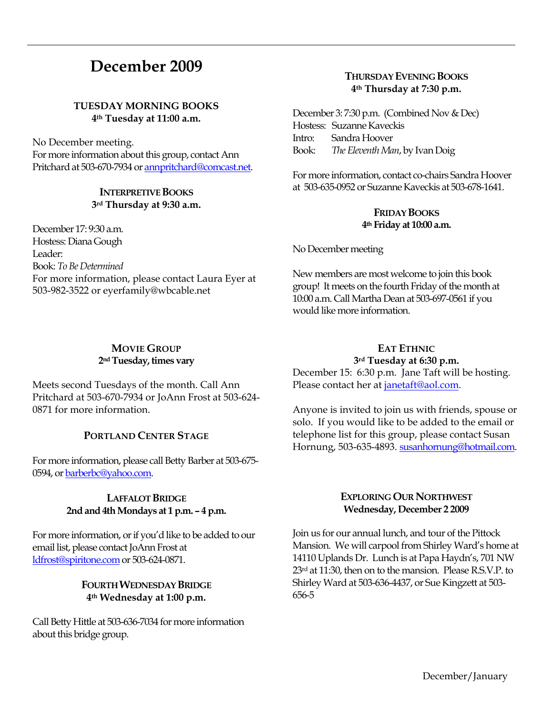# **December 2009**

#### **TUESDAY MORNING BOOKS 4th Tuesday at 11:00 a.m.**

No December meeting. For more information about this group, contact Ann Pritchard at 503-670-7934 o[r annpritchard@comcast.net.](mailto:annpritchard@comcast.net)

#### **INTERPRETIVE BOOKS 3rd Thursday at 9:30 a.m.**

December 17: 9:30 a.m. Hostess: Diana Gough Leader: Book: *To Be Determined* For more information, please contact Laura Eyer at 503-982-3522 or eyerfamily@wbcable.net

#### **MOVIE GROUP 2ndTuesday, times vary**

Meets second Tuesdays of the month. Call Ann Pritchard at 503-670-7934 or JoAnn Frost at 503-624- 0871 for more information.

#### **PORTLAND CENTER STAGE**

For more information, please call Betty Barber at 503-675- 0594, o[r barberbc@yahoo.com.](mailto:barberbc@yahoo.com) 

#### **LAFFALOT BRIDGE 2nd and 4th Mondays at 1 p.m. – 4 p.m.**

For more information, or if you'd like to be added to our email list, please contact JoAnn Frost at [ldfrost@spiritone.com](mailto:ldfrost@spiritone.com) or 503-624-0871.

#### **FOURTH WEDNESDAY BRIDGE 4th Wednesday at 1:00 p.m.**

Call Betty Hittle at 503-636-7034 for more information about this bridge group.

#### **THURSDAY EVENING BOOKS 4th Thursday at 7:30 p.m.**

December 3: 7:30 p.m. (Combined Nov & Dec) Hostess: Suzanne Kaveckis Intro: Sandra Hoover Book: *The Eleventh Man*, by Ivan Doig

For more information, contact co-chairs Sandra Hoover at 503-635-0952 or Suzanne Kaveckis at 503-678-1641.

#### **FRIDAY BOOKS 4th Friday at 10:00 a.m.**

No December meeting

New members are most welcome to join this book group! It meets on the fourth Friday of the month at 10:00 a.m. Call Martha Dean at 503-697-0561 if you would like more information.

#### **EAT ETHNIC 3rd Tuesday at 6:30 p.m.**

December 15: 6:30 p.m. Jane Taft will be hosting. Please contact her at [janetaft@aol.com.](mailto:janetaft@aol.com)

Anyone is invited to join us with friends, spouse or solo. If you would like to be added to the email or telephone list for this group, please contact Susan Hornung, 503-635-4893. [susanhornung@hotmail.com.](http://mailcenter.comcast.net/wmc/v/wm/45FDFA22000D96810000035A22007503309B9D0E08050C01049B0A020E06?cmd=ComposeTo&adr=susanhornung%40hotmail%2Ecom&sid=c0)

#### **EXPLORING OUR NORTHWEST Wednesday, December 2 2009**

Join us for our annual lunch, and tour of the Pittock Mansion. We will carpool from Shirley Ward's home at 14110 Uplands Dr. Lunch is at Papa Haydn's, 701 NW 23rd at 11:30, then on to the mansion. Please R.S.V.P. to Shirley Ward at 503-636-4437, or Sue Kingzett at 503- 656-5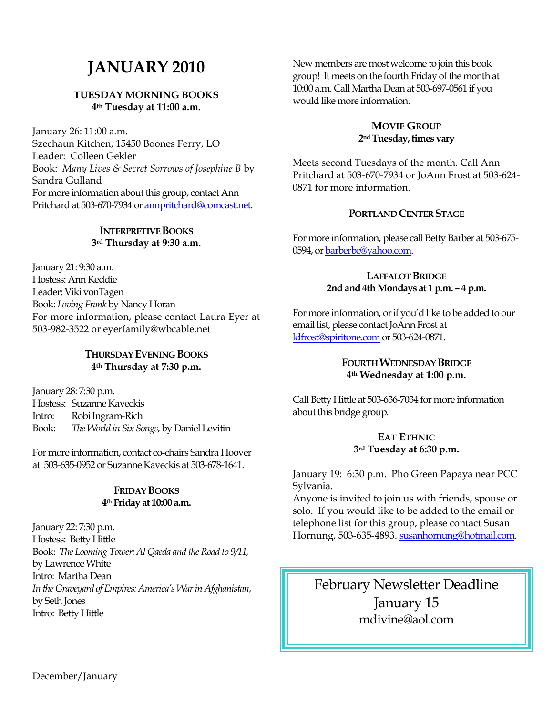# **JANUARY 2010**

#### **TUESDAY MORNING BOOKS 4th Tuesday at 11:00 a.m.**

January 26: 11:00 a.m. Szechaun Kitchen, 15450 Boones Ferry, LO Leader: Colleen Gekler Book: *Many Lives & Secret Sorrows of Josephine B* by Sandra Gulland For more information about this group, contact Ann Pritchard at 503-670-7934 o[r annpritchard@comcast.net.](mailto:annpritchard@comcast.net)

#### **INTERPRETIVE BOOKS 3rd Thursday at 9:30 a.m.**

January 21: 9:30 a.m. Hostess: Ann Keddie Leader: Viki vonTagen Book: *Loving Frank* by Nancy Horan For more information, please contact Laura Eyer at 503-982-3522 or eyerfamily@wbcable.net

#### **THURSDAY EVENING BOOKS 4th Thursday at 7:30 p.m.**

January 28: 7:30 p.m. Hostess: Suzanne Kaveckis Intro: Robi Ingram-Rich Book: *The World in Six Songs*, by Daniel Levitin

For more information, contact co-chairs Sandra Hoover at 503-635-0952 or Suzanne Kaveckis at 503-678-1641.

#### **FRIDAY BOOKS 4th Friday at 10:00 a.m.**

January 22: 7:30 p.m. Hostess: Betty Hittle Book: *The Looming Tower: Al Qaeda and the Road to 9/11,*  by Lawrence White Intro: Martha Dean *In the Graveyard of Empires: America's War in Afghanistan*, by Seth Jones Intro: Betty Hittle

New members are most welcome to join this book group! It meets on the fourth Friday of the month at 10:00 a.m. Call Martha Dean at 503-697-0561 if you would like more information.

#### **MOVIE GROUP 2ndTuesday, times vary**

Meets second Tuesdays of the month. Call Ann Pritchard at 503-670-7934 or JoAnn Frost at 503-624- 0871 for more information.

#### **PORTLAND CENTER STAGE**

For more information, please call Betty Barber at 503-675- 0594, o[r barberbc@yahoo.com.](mailto:barberbc@yahoo.com) 

#### **LAFFALOT BRIDGE 2nd and 4th Mondays at 1 p.m. – 4 p.m.**

For more information, or if you'd like to be added to our email list, please contact JoAnn Frost at [ldfrost@spiritone.com](mailto:ldfrost@spiritone.com) or 503-624-0871.

#### **FOURTH WEDNESDAY BRIDGE 4th Wednesday at 1:00 p.m.**

Call Betty Hittle at 503-636-7034 for more information about this bridge group.

#### **EAT ETHNIC 3rd Tuesday at 6:30 p.m.**

January 19: 6:30 p.m. Pho Green Papaya near PCC Sylvania.

Anyone is invited to join us with friends, spouse or solo. If you would like to be added to the email or telephone list for this group, please contact Susan Hornung, 503-635-4893. [susanhornung@hotmail.com.](http://mailcenter.comcast.net/wmc/v/wm/45FDFA22000D96810000035A22007503309B9D0E08050C01049B0A020E06?cmd=ComposeTo&adr=susanhornung%40hotmail%2Ecom&sid=c0)

February Newsletter Deadline January 15 mdivine@aol.com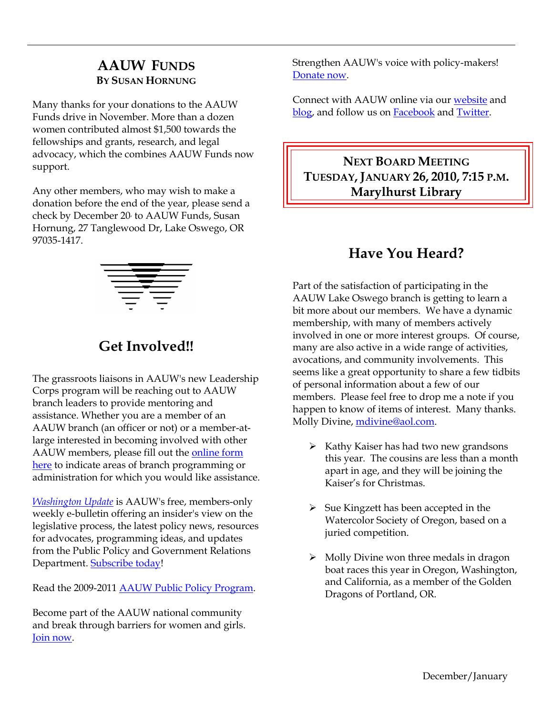## **AAUW FUNDS BY SUSAN HORNUNG**

Many thanks for your donations to the AAUW Funds drive in November. More than a dozen women contributed almost \$1,500 towards the fellowships and grants, research, and legal advocacy, which the combines AAUW Funds now support.

Any other members, who may wish to make a donation before the end of the year, please send a check by December 20, to AAUW Funds, Susan Hornung, 27 Tanglewood Dr, Lake Oswego, OR 97035-1417.



# **Get Involved!!**

The grassroots liaisons in AAUW's new Leadership Corps program will be reaching out to AAUW branch leaders to provide mentoring and assistance. Whether you are a member of an AAUW branch (an officer or not) or a member-atlarge interested in becoming involved with other AAUW members, please fill out the [online form](http://capwiz.com/aauw/utr/1/OEMALQKKSP/CHNJLQKNAJ/4276682591)  [here](http://capwiz.com/aauw/utr/1/OEMALQKKSP/CHNJLQKNAJ/4276682591) to indicate areas of branch programming or administration for which you would like assistance.

*[Washington Update](http://capwiz.com/aauw/utr/1/OEMALQKKSP/IQNMLQKNAK/4276682591)* is AAUW's free, members-only weekly e-bulletin offering an insider's view on the legislative process, the latest policy news, resources for advocates, programming ideas, and updates from the Public Policy and Government Relations Department. [Subscribe today!](http://capwiz.com/aauw/utr/1/OEMALQKKSP/OVTBLQKNAL/4276682591)

Read the 2009-2011 [AAUW Public Policy Program.](http://capwiz.com/aauw/utr/1/OEMALQKKSP/MOTELQKNAM/4276682591)

Become part of the AAUW national community and break through barriers for women and girls. [Join now.](http://capwiz.com/aauw/utr/1/OEMALQKKSP/MPUILQKNAN/4276682591)

Strengthen AAUW's voice with policy-makers! [Donate now.](http://capwiz.com/aauw/utr/1/OEMALQKKSP/MLGJLQKNAO/4276682591)

Connect with AAUW online via our [website](http://capwiz.com/aauw/utr/1/OEMALQKKSP/IFCJLQKNAP/4276682591) and [blog,](http://capwiz.com/aauw/utr/1/OEMALQKKSP/CPHMLQKNAQ/4276682591) and follow us on **Facebook** and **Twitter**.

**NEXT BOARD MEETING TUESDAY,JANUARY 26, 2010, 7:15 P.M. Marylhurst Library**

# **Have You Heard?**

Part of the satisfaction of participating in the AAUW Lake Oswego branch is getting to learn a bit more about our members. We have a dynamic membership, with many of members actively involved in one or more interest groups. Of course, many are also active in a wide range of activities, avocations, and community involvements. This seems like a great opportunity to share a few tidbits of personal information about a few of our members. Please feel free to drop me a note if you happen to know of items of interest. Many thanks. Molly Divine, [mdivine@aol.com.](mailto:mdivine@aol.com)

- $\triangleright$  Kathy Kaiser has had two new grandsons this year. The cousins are less than a month apart in age, and they will be joining the Kaiser's for Christmas.
- $\triangleright$  Sue Kingzett has been accepted in the Watercolor Society of Oregon, based on a juried competition.
- $\triangleright$  Molly Divine won three medals in dragon boat races this year in Oregon, Washington, and California, as a member of the Golden Dragons of Portland, OR.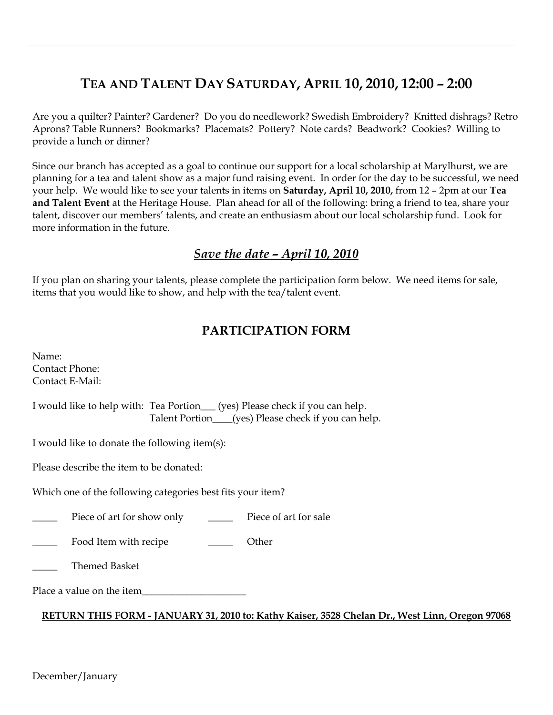# **TEA AND TALENT DAY SATURDAY, APRIL 10, 2010, 12:00 – 2:00**

Are you a quilter? Painter? Gardener? Do you do needlework? Swedish Embroidery? Knitted dishrags? Retro Aprons? Table Runners? Bookmarks? Placemats? Pottery? Note cards? Beadwork? Cookies? Willing to provide a lunch or dinner?

Since our branch has accepted as a goal to continue our support for a local scholarship at Marylhurst, we are planning for a tea and talent show as a major fund raising event. In order for the day to be successful, we need your help. We would like to see your talents in items on **Saturday, April 10, 2010,** from 12 – 2pm at our **Tea and Talent Event** at the Heritage House. Plan ahead for all of the following: bring a friend to tea, share your talent, discover our members' talents, and create an enthusiasm about our local scholarship fund. Look for more information in the future.

## *Save the date – April 10, 2010*

If you plan on sharing your talents, please complete the participation form below. We need items for sale, items that you would like to show, and help with the tea/talent event.

## **PARTICIPATION FORM**

| Name:                                                                                                                                |
|--------------------------------------------------------------------------------------------------------------------------------------|
| <b>Contact Phone:</b>                                                                                                                |
| Contact E-Mail:                                                                                                                      |
| I would like to help with: Tea Portion___(yes) Please check if you can help.<br>Talent Portion___(yes) Please check if you can help. |
| I would like to donate the following item(s):                                                                                        |
| Please describe the item to be donated:                                                                                              |
| Which one of the following categories best fits your item?                                                                           |
| Piece of art for sale<br>Piece of art for show only                                                                                  |
| Food Item with recipe<br>Other                                                                                                       |
| <b>Themed Basket</b>                                                                                                                 |
| Place a value on the item                                                                                                            |
| RETURN THIS FORM - JANUARY 31, 2010 to: Kathy Kaiser, 3528 Chelan Dr., West Linn, Oregon 97068                                       |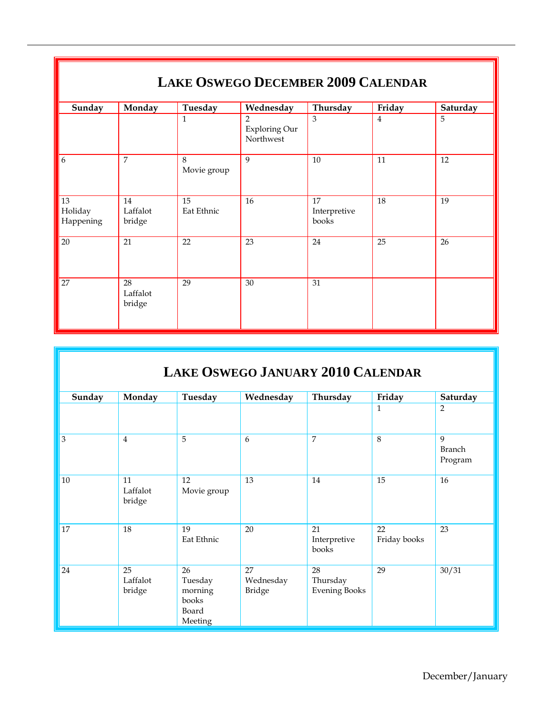| <b>LAKE OSWEGO DECEMBER 2009 CALENDAR</b> |                          |                  |                                              |                             |                |          |  |  |  |
|-------------------------------------------|--------------------------|------------------|----------------------------------------------|-----------------------------|----------------|----------|--|--|--|
| Sunday                                    | Monday                   | Tuesday          | Wednesday                                    | Thursday                    | Friday         | Saturday |  |  |  |
|                                           |                          | $\mathbf{1}$     | $\overline{2}$<br>Exploring Our<br>Northwest | 3                           | $\overline{4}$ | 5        |  |  |  |
| 6                                         | 7                        | 8<br>Movie group | 9                                            | 10                          | 11             | 12       |  |  |  |
| 13<br>Holiday<br>Happening                | 14<br>Laffalot<br>bridge | 15<br>Eat Ethnic | 16                                           | 17<br>Interpretive<br>books | 18             | 19       |  |  |  |
| 20                                        | 21                       | 22               | 23                                           | 24                          | 25             | 26       |  |  |  |
| 27                                        | 28<br>Laffalot<br>bridge | 29               | 30                                           | 31                          |                |          |  |  |  |

| Sunday | Monday                   | Tuesday                                               | Wednesday                 | Thursday                               | Friday             | Saturday                      |
|--------|--------------------------|-------------------------------------------------------|---------------------------|----------------------------------------|--------------------|-------------------------------|
|        |                          |                                                       |                           |                                        | $\mathbf{1}$       | 2                             |
| 3      | $\overline{4}$           | 5                                                     | 6                         | $\overline{7}$                         | 8                  | 9<br><b>Branch</b><br>Program |
| $10\,$ | 11<br>Laffalot<br>bridge | 12<br>Movie group                                     | 13                        | 14                                     | 15                 | 16                            |
| 17     | 18                       | 19<br>Eat Ethnic                                      | 20                        | 21<br>Interpretive<br>books            | 22<br>Friday books | 23                            |
| 24     | 25<br>Laffalot<br>bridge | 26<br>Tuesday<br>morning<br>books<br>Board<br>Meeting | 27<br>Wednesday<br>Bridge | 28<br>Thursday<br><b>Evening Books</b> | 29                 | 30/31                         |